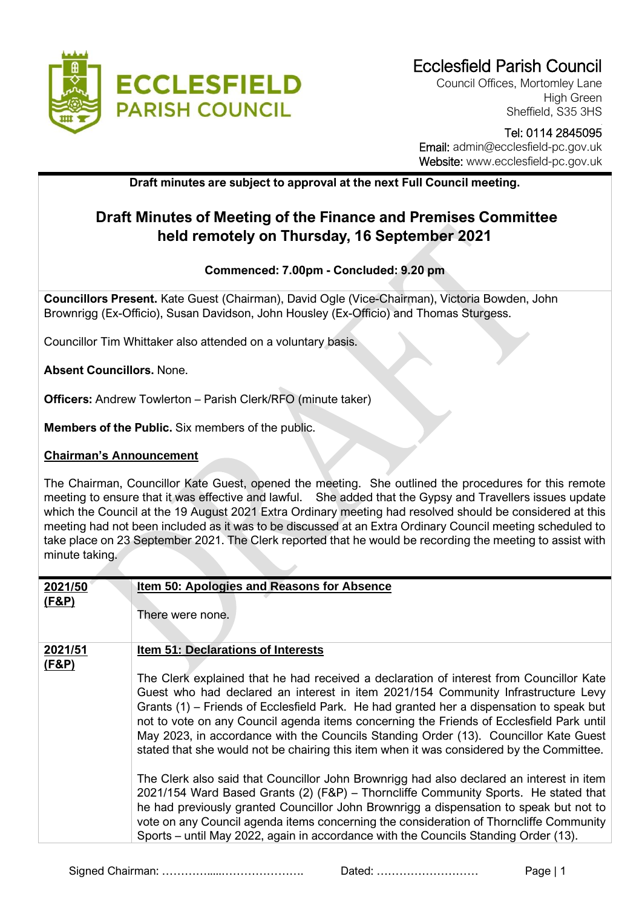

Council Offices, Mortomley Lane High Green Sheffield, S35 3HS

#### Tel: 0114 2845095 Email: admin@ecclesfield-pc.gov.uk Website: www.ecclesfield-pc.gov.uk

**Draft minutes are subject to approval at the next Full Council meeting.** 

## **Draft Minutes of Meeting of the Finance and Premises Committee held remotely on Thursday, 16 September 2021**

#### **Commenced: 7.00pm - Concluded: 9.20 pm**

**Councillors Present.** Kate Guest (Chairman), David Ogle (Vice-Chairman), Victoria Bowden, John Brownrigg (Ex-Officio), Susan Davidson, John Housley (Ex-Officio) and Thomas Sturgess.

Councillor Tim Whittaker also attended on a voluntary basis.

#### **Absent Councillors.** None.

**Officers:** Andrew Towlerton – Parish Clerk/RFO (minute taker)

**Members of the Public.** Six members of the public.

#### **Chairman's Announcement**

The Chairman, Councillor Kate Guest, opened the meeting. She outlined the procedures for this remote meeting to ensure that it was effective and lawful. She added that the Gypsy and Travellers issues update which the Council at the 19 August 2021 Extra Ordinary meeting had resolved should be considered at this meeting had not been included as it was to be discussed at an Extra Ordinary Council meeting scheduled to take place on 23 September 2021. The Clerk reported that he would be recording the meeting to assist with minute taking.

| 2021/50          | <b>Item 50: Apologies and Reasons for Absence</b>                                                                                                                                                                                                                                                                                                                                                                                                                                                                                                                                                                                                                                                                                                                                                                                                                                                                                                                                                                                                                   |
|------------------|---------------------------------------------------------------------------------------------------------------------------------------------------------------------------------------------------------------------------------------------------------------------------------------------------------------------------------------------------------------------------------------------------------------------------------------------------------------------------------------------------------------------------------------------------------------------------------------------------------------------------------------------------------------------------------------------------------------------------------------------------------------------------------------------------------------------------------------------------------------------------------------------------------------------------------------------------------------------------------------------------------------------------------------------------------------------|
| (F&P)            | There were none.                                                                                                                                                                                                                                                                                                                                                                                                                                                                                                                                                                                                                                                                                                                                                                                                                                                                                                                                                                                                                                                    |
| 2021/51<br>(F&P) | <b>Item 51: Declarations of Interests</b><br>The Clerk explained that he had received a declaration of interest from Councillor Kate<br>Guest who had declared an interest in item 2021/154 Community Infrastructure Levy<br>Grants (1) – Friends of Ecclesfield Park. He had granted her a dispensation to speak but<br>not to vote on any Council agenda items concerning the Friends of Ecclesfield Park until<br>May 2023, in accordance with the Councils Standing Order (13). Councillor Kate Guest<br>stated that she would not be chairing this item when it was considered by the Committee.<br>The Clerk also said that Councillor John Brownrigg had also declared an interest in item<br>2021/154 Ward Based Grants (2) (F&P) – Thorncliffe Community Sports. He stated that<br>he had previously granted Councillor John Brownrigg a dispensation to speak but not to<br>vote on any Council agenda items concerning the consideration of Thorncliffe Community<br>Sports – until May 2022, again in accordance with the Councils Standing Order (13). |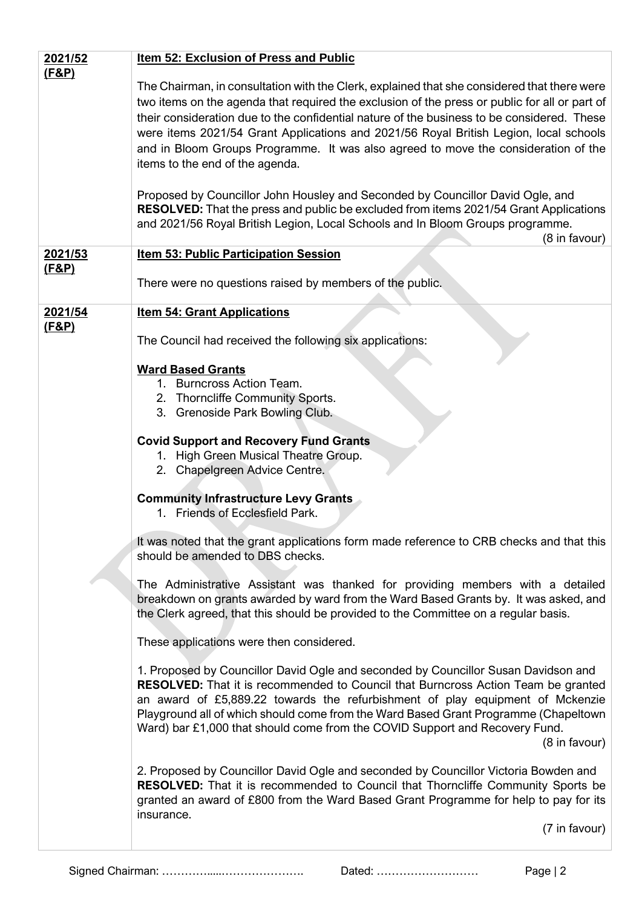| 2021/52                     | <b>Item 52: Exclusion of Press and Public</b>                                                                                                                                                                                                                                                                                                                                                                                                                                                                                                                                                                                                                                                                                                                                                     |  |
|-----------------------------|---------------------------------------------------------------------------------------------------------------------------------------------------------------------------------------------------------------------------------------------------------------------------------------------------------------------------------------------------------------------------------------------------------------------------------------------------------------------------------------------------------------------------------------------------------------------------------------------------------------------------------------------------------------------------------------------------------------------------------------------------------------------------------------------------|--|
| <u>(F&amp;P)</u>            | The Chairman, in consultation with the Clerk, explained that she considered that there were<br>two items on the agenda that required the exclusion of the press or public for all or part of<br>their consideration due to the confidential nature of the business to be considered. These<br>were items 2021/54 Grant Applications and 2021/56 Royal British Legion, local schools<br>and in Bloom Groups Programme. It was also agreed to move the consideration of the<br>items to the end of the agenda.<br>Proposed by Councillor John Housley and Seconded by Councillor David Ogle, and<br><b>RESOLVED:</b> That the press and public be excluded from items 2021/54 Grant Applications<br>and 2021/56 Royal British Legion, Local Schools and In Bloom Groups programme.<br>(8 in favour) |  |
| 2021/53<br><u>(F&amp;P)</u> | <b>Item 53: Public Participation Session</b>                                                                                                                                                                                                                                                                                                                                                                                                                                                                                                                                                                                                                                                                                                                                                      |  |
|                             | There were no questions raised by members of the public.                                                                                                                                                                                                                                                                                                                                                                                                                                                                                                                                                                                                                                                                                                                                          |  |
| 2021/54<br><u>(F&amp;P)</u> | <b>Item 54: Grant Applications</b><br>The Council had received the following six applications:                                                                                                                                                                                                                                                                                                                                                                                                                                                                                                                                                                                                                                                                                                    |  |
|                             | <b>Ward Based Grants</b><br>1. Burncross Action Team.<br>2. Thorncliffe Community Sports.<br>3. Grenoside Park Bowling Club.                                                                                                                                                                                                                                                                                                                                                                                                                                                                                                                                                                                                                                                                      |  |
|                             | <b>Covid Support and Recovery Fund Grants</b><br>1. High Green Musical Theatre Group.<br>2. Chapelgreen Advice Centre.                                                                                                                                                                                                                                                                                                                                                                                                                                                                                                                                                                                                                                                                            |  |
|                             | <b>Community Infrastructure Levy Grants</b><br>1. Friends of Ecclesfield Park.                                                                                                                                                                                                                                                                                                                                                                                                                                                                                                                                                                                                                                                                                                                    |  |
|                             | It was noted that the grant applications form made reference to CRB checks and that this<br>should be amended to DBS checks.                                                                                                                                                                                                                                                                                                                                                                                                                                                                                                                                                                                                                                                                      |  |
|                             | The Administrative Assistant was thanked for providing members with a detailed<br>breakdown on grants awarded by ward from the Ward Based Grants by. It was asked, and<br>the Clerk agreed, that this should be provided to the Committee on a regular basis.                                                                                                                                                                                                                                                                                                                                                                                                                                                                                                                                     |  |
|                             | These applications were then considered.                                                                                                                                                                                                                                                                                                                                                                                                                                                                                                                                                                                                                                                                                                                                                          |  |
|                             | 1. Proposed by Councillor David Ogle and seconded by Councillor Susan Davidson and<br><b>RESOLVED:</b> That it is recommended to Council that Burncross Action Team be granted<br>an award of £5,889.22 towards the refurbishment of play equipment of Mckenzie<br>Playground all of which should come from the Ward Based Grant Programme (Chapeltown<br>Ward) bar £1,000 that should come from the COVID Support and Recovery Fund.<br>(8 in favour)                                                                                                                                                                                                                                                                                                                                            |  |
|                             | 2. Proposed by Councillor David Ogle and seconded by Councillor Victoria Bowden and<br><b>RESOLVED:</b> That it is recommended to Council that Thorncliffe Community Sports be<br>granted an award of £800 from the Ward Based Grant Programme for help to pay for its<br>insurance.<br>(7 in favour)                                                                                                                                                                                                                                                                                                                                                                                                                                                                                             |  |
|                             |                                                                                                                                                                                                                                                                                                                                                                                                                                                                                                                                                                                                                                                                                                                                                                                                   |  |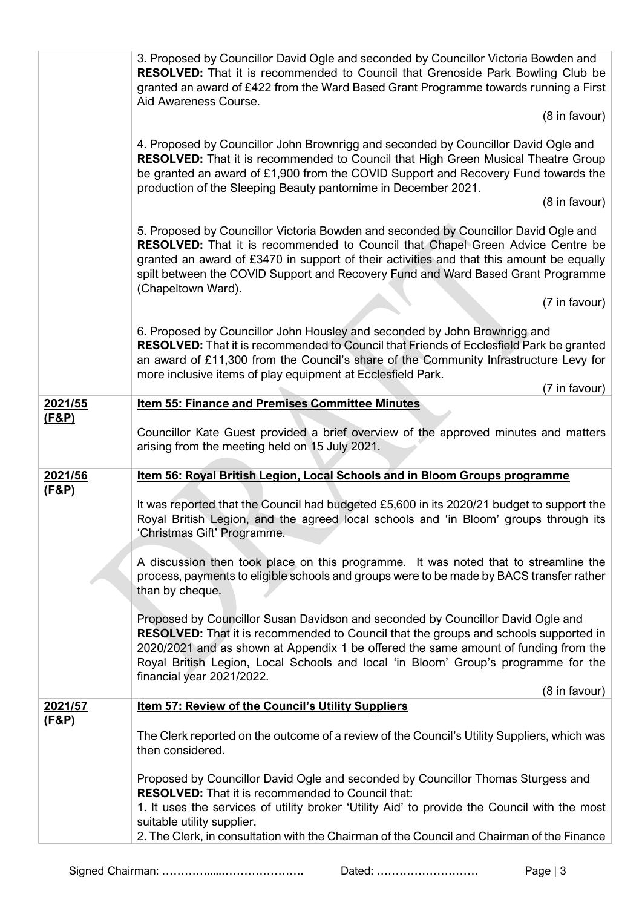|                  | 3. Proposed by Councillor David Ogle and seconded by Councillor Victoria Bowden and<br>RESOLVED: That it is recommended to Council that Grenoside Park Bowling Club be<br>granted an award of £422 from the Ward Based Grant Programme towards running a First<br>Aid Awareness Course.<br>(8 in favour)                                                                                                  |
|------------------|-----------------------------------------------------------------------------------------------------------------------------------------------------------------------------------------------------------------------------------------------------------------------------------------------------------------------------------------------------------------------------------------------------------|
|                  | 4. Proposed by Councillor John Brownrigg and seconded by Councillor David Ogle and<br><b>RESOLVED:</b> That it is recommended to Council that High Green Musical Theatre Group<br>be granted an award of £1,900 from the COVID Support and Recovery Fund towards the<br>production of the Sleeping Beauty pantomime in December 2021.<br>(8 in favour)                                                    |
|                  | 5. Proposed by Councillor Victoria Bowden and seconded by Councillor David Ogle and<br>RESOLVED: That it is recommended to Council that Chapel Green Advice Centre be<br>granted an award of £3470 in support of their activities and that this amount be equally<br>spilt between the COVID Support and Recovery Fund and Ward Based Grant Programme<br>(Chapeltown Ward).<br>(7 in favour)              |
|                  | 6. Proposed by Councillor John Housley and seconded by John Brownrigg and<br><b>RESOLVED:</b> That it is recommended to Council that Friends of Ecclesfield Park be granted<br>an award of £11,300 from the Council's share of the Community Infrastructure Levy for<br>more inclusive items of play equipment at Ecclesfield Park.                                                                       |
| 2021/55          | (7 in favour)<br><b>Item 55: Finance and Premises Committee Minutes</b>                                                                                                                                                                                                                                                                                                                                   |
| <u>(F&amp;P)</u> | Councillor Kate Guest provided a brief overview of the approved minutes and matters<br>arising from the meeting held on 15 July 2021.                                                                                                                                                                                                                                                                     |
| 2021/56          | Item 56: Royal British Legion, Local Schools and in Bloom Groups programme                                                                                                                                                                                                                                                                                                                                |
| <u>(F&amp;P)</u> | It was reported that the Council had budgeted £5,600 in its 2020/21 budget to support the<br>Royal British Legion, and the agreed local schools and 'in Bloom' groups through its<br>'Christmas Gift' Programme.                                                                                                                                                                                          |
|                  | A discussion then took place on this programme. It was noted that to streamline the<br>process, payments to eligible schools and groups were to be made by BACS transfer rather<br>than by cheque.                                                                                                                                                                                                        |
|                  | Proposed by Councillor Susan Davidson and seconded by Councillor David Ogle and<br><b>RESOLVED:</b> That it is recommended to Council that the groups and schools supported in<br>2020/2021 and as shown at Appendix 1 be offered the same amount of funding from the<br>Royal British Legion, Local Schools and local 'in Bloom' Group's programme for the<br>financial year 2021/2022.<br>(8 in favour) |
| 2021/57          | <b>Item 57: Review of the Council's Utility Suppliers</b>                                                                                                                                                                                                                                                                                                                                                 |
| (F&P)            | The Clerk reported on the outcome of a review of the Council's Utility Suppliers, which was<br>then considered.                                                                                                                                                                                                                                                                                           |
|                  | Proposed by Councillor David Ogle and seconded by Councillor Thomas Sturgess and<br><b>RESOLVED:</b> That it is recommended to Council that:<br>1. It uses the services of utility broker 'Utility Aid' to provide the Council with the most<br>suitable utility supplier.<br>2. The Clerk, in consultation with the Chairman of the Council and Chairman of the Finance                                  |
|                  |                                                                                                                                                                                                                                                                                                                                                                                                           |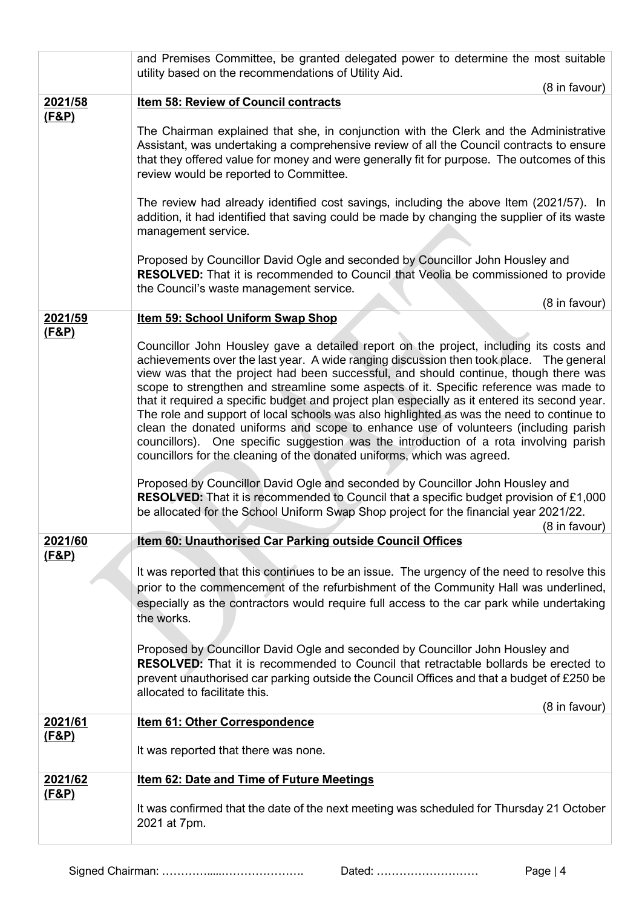|                  | and Premises Committee, be granted delegated power to determine the most suitable<br>utility based on the recommendations of Utility Aid.                                                                                                                                                                                                                                                                                                                                                                                                                                                                                                                                                                                                                                                                                   |
|------------------|-----------------------------------------------------------------------------------------------------------------------------------------------------------------------------------------------------------------------------------------------------------------------------------------------------------------------------------------------------------------------------------------------------------------------------------------------------------------------------------------------------------------------------------------------------------------------------------------------------------------------------------------------------------------------------------------------------------------------------------------------------------------------------------------------------------------------------|
|                  | (8 in favour)                                                                                                                                                                                                                                                                                                                                                                                                                                                                                                                                                                                                                                                                                                                                                                                                               |
| 2021/58          | Item 58: Review of Council contracts                                                                                                                                                                                                                                                                                                                                                                                                                                                                                                                                                                                                                                                                                                                                                                                        |
| <u>(F&amp;P)</u> | The Chairman explained that she, in conjunction with the Clerk and the Administrative<br>Assistant, was undertaking a comprehensive review of all the Council contracts to ensure<br>that they offered value for money and were generally fit for purpose. The outcomes of this<br>review would be reported to Committee.                                                                                                                                                                                                                                                                                                                                                                                                                                                                                                   |
|                  | The review had already identified cost savings, including the above Item (2021/57). In<br>addition, it had identified that saving could be made by changing the supplier of its waste<br>management service.                                                                                                                                                                                                                                                                                                                                                                                                                                                                                                                                                                                                                |
|                  | Proposed by Councillor David Ogle and seconded by Councillor John Housley and<br><b>RESOLVED:</b> That it is recommended to Council that Veolia be commissioned to provide<br>the Council's waste management service.<br>(8 in favour)                                                                                                                                                                                                                                                                                                                                                                                                                                                                                                                                                                                      |
| 2021/59          | <b>Item 59: School Uniform Swap Shop</b>                                                                                                                                                                                                                                                                                                                                                                                                                                                                                                                                                                                                                                                                                                                                                                                    |
| <u>(F&amp;P)</u> |                                                                                                                                                                                                                                                                                                                                                                                                                                                                                                                                                                                                                                                                                                                                                                                                                             |
|                  | Councillor John Housley gave a detailed report on the project, including its costs and<br>achievements over the last year. A wide ranging discussion then took place. The general<br>view was that the project had been successful, and should continue, though there was<br>scope to strengthen and streamline some aspects of it. Specific reference was made to<br>that it required a specific budget and project plan especially as it entered its second year.<br>The role and support of local schools was also highlighted as was the need to continue to<br>clean the donated uniforms and scope to enhance use of volunteers (including parish<br>councillors). One specific suggestion was the introduction of a rota involving parish<br>councillors for the cleaning of the donated uniforms, which was agreed. |
|                  | Proposed by Councillor David Ogle and seconded by Councillor John Housley and<br><b>RESOLVED:</b> That it is recommended to Council that a specific budget provision of £1,000<br>be allocated for the School Uniform Swap Shop project for the financial year 2021/22.<br>(8 in favour)                                                                                                                                                                                                                                                                                                                                                                                                                                                                                                                                    |
| 2021/60          | <b>Item 60: Unauthorised Car Parking outside Council Offices</b>                                                                                                                                                                                                                                                                                                                                                                                                                                                                                                                                                                                                                                                                                                                                                            |
| <u>(F&amp;P)</u> |                                                                                                                                                                                                                                                                                                                                                                                                                                                                                                                                                                                                                                                                                                                                                                                                                             |
|                  | It was reported that this continues to be an issue. The urgency of the need to resolve this<br>prior to the commencement of the refurbishment of the Community Hall was underlined,<br>especially as the contractors would require full access to the car park while undertaking<br>the works.                                                                                                                                                                                                                                                                                                                                                                                                                                                                                                                              |
|                  | Proposed by Councillor David Ogle and seconded by Councillor John Housley and<br><b>RESOLVED:</b> That it is recommended to Council that retractable bollards be erected to<br>prevent unauthorised car parking outside the Council Offices and that a budget of £250 be<br>allocated to facilitate this.                                                                                                                                                                                                                                                                                                                                                                                                                                                                                                                   |
| 2021/61          | (8 in favour)<br><b>Item 61: Other Correspondence</b>                                                                                                                                                                                                                                                                                                                                                                                                                                                                                                                                                                                                                                                                                                                                                                       |
| <u>(F&amp;P)</u> | It was reported that there was none.                                                                                                                                                                                                                                                                                                                                                                                                                                                                                                                                                                                                                                                                                                                                                                                        |
| 2021/62          | <b>Item 62: Date and Time of Future Meetings</b>                                                                                                                                                                                                                                                                                                                                                                                                                                                                                                                                                                                                                                                                                                                                                                            |
| <u>(F&amp;P)</u> | It was confirmed that the date of the next meeting was scheduled for Thursday 21 October<br>2021 at 7pm.                                                                                                                                                                                                                                                                                                                                                                                                                                                                                                                                                                                                                                                                                                                    |